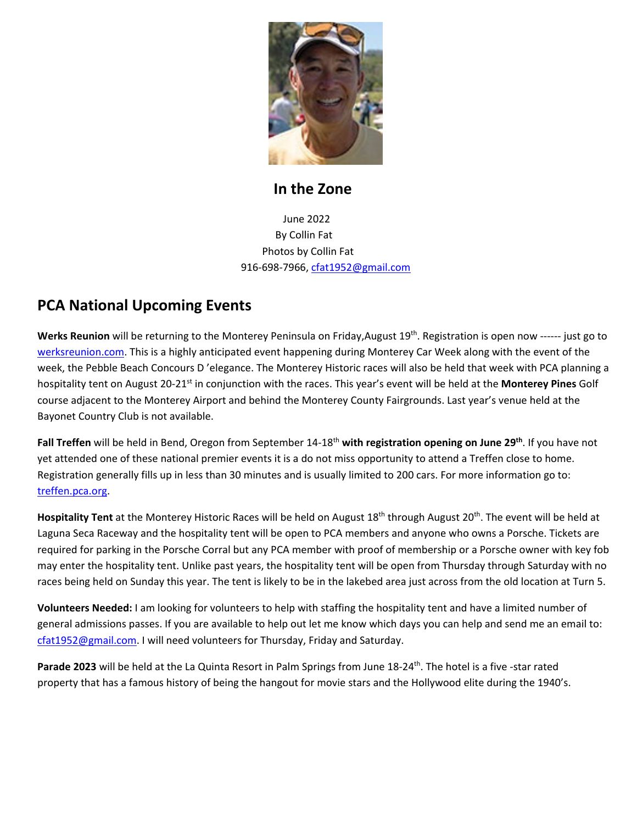

#### **In the Zone**

 June 2022 By Collin Fat Photos by Collin Fat 916-698-7966, [cfat1952@gmail.com](mailto:cfat1952@gmail.com)

### **PCA National Upcoming Events**

Werks Reunion will be returning to the Monterey Peninsula on Friday, August 19<sup>th</sup>. Registration is open now ------ just go to [werksreunion.com.](https://werksreunion.com/monterey.cfm) This is a highly anticipated event happening during Monterey Car Week along with the event of the week, the Pebble Beach Concours D 'elegance. The Monterey Historic races will also be held that week with PCA planning a hospitality tent on August 20-21<sup>st</sup> in conjunction with the races. This year's event will be held at the **Monterey Pines** Golf course adjacent to the Monterey Airport and behind the Monterey County Fairgrounds. Last year's venue held at the Bayonet Country Club is not available.

**Fall Treffen** will be held in Bend, Oregon from September 14-18<sup>th</sup> with registration opening on June 29<sup>th</sup>. If you have not yet attended one of these national premier events it is a do not miss opportunity to attend a Treffen close to home. Registration generally fills up in less than 30 minutes and is usually limited to 200 cars. For more information go to: [treffen.pca.org.](https://treffen.pca.org/index.cfm?event=main.index)

Hospitality Tent at the Monterey Historic Races will be held on August 18<sup>th</sup> through August 20<sup>th</sup>. The event will be held at Laguna Seca Raceway and the hospitality tent will be open to PCA members and anyone who owns a Porsche. Tickets are required for parking in the Porsche Corral but any PCA member with proof of membership or a Porsche owner with key fob may enter the hospitality tent. Unlike past years, the hospitality tent will be open from Thursday through Saturday with no races being held on Sunday this year. The tent is likely to be in the lakebed area just across from the old location at Turn 5.

**Volunteers Needed:** I am looking for volunteers to help with staffing the hospitality tent and have a limited number of general admissions passes. If you are available to help out let me know which days you can help and send me an email to: [cfat1952@gmail.com.](mailto:cfat1952@gmail.com) I will need volunteers for Thursday, Friday and Saturday.

Parade 2023 will be held at the La Quinta Resort in Palm Springs from June 18-24<sup>th</sup>. The hotel is a five -star rated property that has a famous history of being the hangout for movie stars and the Hollywood elite during the 1940's.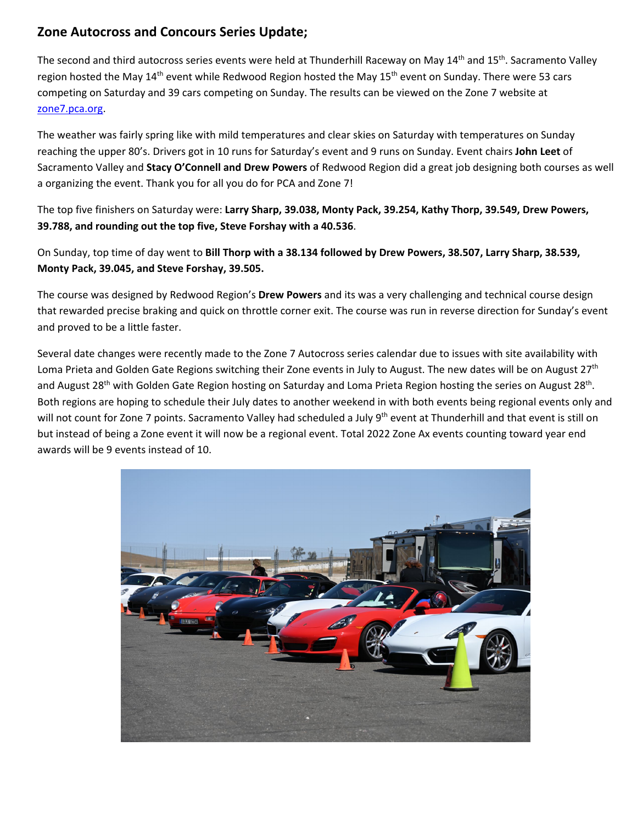#### **Zone Autocross and Concours Series Update;**

The second and third autocross series events were held at Thunderhill Raceway on May 14<sup>th</sup> and 15<sup>th</sup>. Sacramento Valley region hosted the May 14<sup>th</sup> event while Redwood Region hosted the May 15<sup>th</sup> event on Sunday. There were 53 cars competing on Saturday and 39 cars competing on Sunday. The results can be viewed on the Zone 7 website at [zone7.pca.org.](https://zone7.pca.org/)

The weather was fairly spring like with mild temperatures and clear skies on Saturday with temperatures on Sunday reaching the upper 80's. Drivers got in 10 runs for Saturday's event and 9 runs on Sunday. Event chairs **John Leet** of Sacramento Valley and **Stacy O'Connell and Drew Powers** of Redwood Region did a great job designing both courses as well a organizing the event. Thank you for all you do for PCA and Zone 7!

The top five finishers on Saturday were: **Larry Sharp, 39.038, Monty Pack, 39.254, Kathy Thorp, 39.549, Drew Powers, 39.788, and rounding out the top five, Steve Forshay with a 40.536**.

On Sunday, top time of day went to **Bill Thorp with a 38.134 followed by Drew Powers, 38.507, Larry Sharp, 38.539, Monty Pack, 39.045, and Steve Forshay, 39.505.**

The course was designed by Redwood Region's **Drew Powers** and its was a very challenging and technical course design that rewarded precise braking and quick on throttle corner exit. The course was run in reverse direction for Sunday's event and proved to be a little faster.

Several date changes were recently made to the Zone 7 Autocross series calendar due to issues with site availability with Loma Prieta and Golden Gate Regions switching their Zone events in July to August. The new dates will be on August 27<sup>th</sup> and August 28<sup>th</sup> with Golden Gate Region hosting on Saturday and Loma Prieta Region hosting the series on August 28<sup>th</sup>. Both regions are hoping to schedule their July dates to another weekend in with both events being regional events only and will not count for Zone 7 points. Sacramento Valley had scheduled a July 9<sup>th</sup> event at Thunderhill and that event is still on but instead of being a Zone event it will now be a regional event. Total 2022 Zone Ax events counting toward year end awards will be 9 events instead of 10.

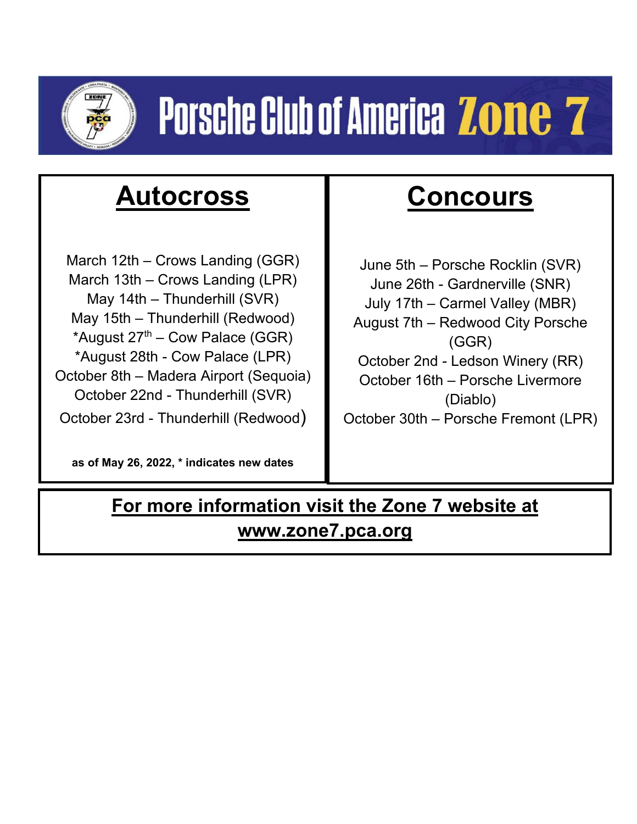

# **Porsche Club of America Zone 7**

# **Autocross**

March 12th – Crows Landing (GGR) March 13th – Crows Landing (LPR) May 14th – Thunderhill (SVR) May 15th – Thunderhill (Redwood) \*August  $27<sup>th</sup>$  – Cow Palace (GGR) \*August 28th - Cow Palace (LPR) October 8th – Madera Airport (Sequoia) October 22nd - Thunderhill (SVR) October 23rd - Thunderhill (Redwood)

**as of May 26, 2022, \* indicates new dates**

# **Concours**

June 5th – Porsche Rocklin (SVR) June 26th - Gardnerville (SNR) July 17th – Carmel Valley (MBR) August 7th – Redwood City Porsche (GGR) October 2nd - Ledson Winery (RR) October 16th – Porsche Livermore (Diablo) October 30th – Porsche Fremont (LPR)

## **For more information visit the Zone 7 website at www.zone7.pca.org**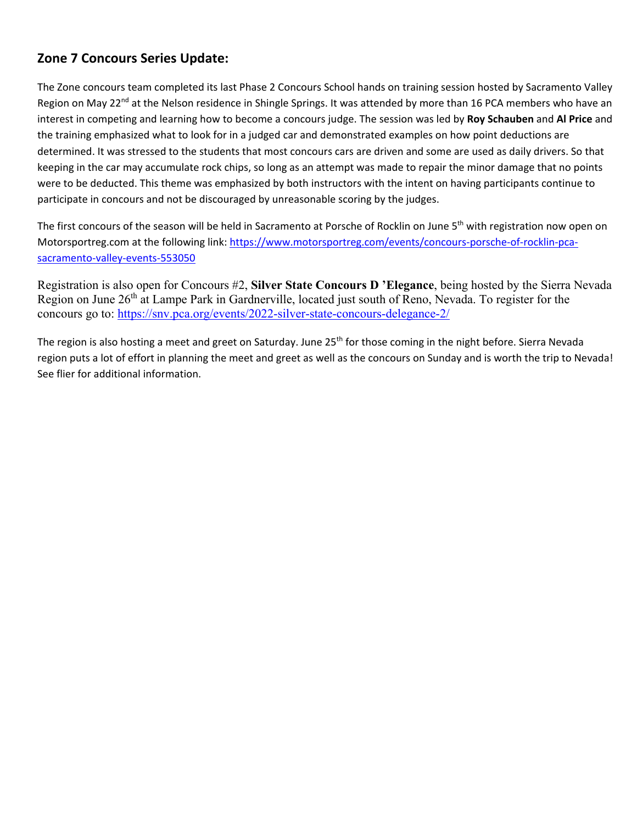#### **Zone 7 Concours Series Update:**

The Zone concours team completed its last Phase 2 Concours School hands on training session hosted by Sacramento Valley Region on May 22<sup>nd</sup> at the Nelson residence in Shingle Springs. It was attended by more than 16 PCA members who have an interest in competing and learning how to become a concours judge. The session was led by **Roy Schauben** and **Al Price** and the training emphasized what to look for in a judged car and demonstrated examples on how point deductions are determined. It was stressed to the students that most concours cars are driven and some are used as daily drivers. So that keeping in the car may accumulate rock chips, so long as an attempt was made to repair the minor damage that no points were to be deducted. This theme was emphasized by both instructors with the intent on having participants continue to participate in concours and not be discouraged by unreasonable scoring by the judges.

The first concours of the season will be held in Sacramento at Porsche of Rocklin on June 5<sup>th</sup> with registration now open on Motorsportreg.com at the following link: [https://www.motorsportreg.com/events/concours-porsche-of-rocklin-pca](https://www.motorsportreg.com/events/concours-porsche-of-rocklin-pca-sacramento-valley-events-553050)[sacramento-valley-events-553050](https://www.motorsportreg.com/events/concours-porsche-of-rocklin-pca-sacramento-valley-events-553050)

Registration is also open for Concours #2, **Silver State Concours D 'Elegance**, being hosted by the Sierra Nevada Region on June 26<sup>th</sup> at Lampe Park in Gardnerville, located just south of Reno, Nevada. To register for the concours go to:<https://snv.pca.org/events/2022-silver-state-concours-delegance-2/>

The region is also hosting a meet and greet on Saturday. June 25<sup>th</sup> for those coming in the night before. Sierra Nevada region puts a lot of effort in planning the meet and greet as well as the concours on Sunday and is worth the trip to Nevada! See flier for additional information.